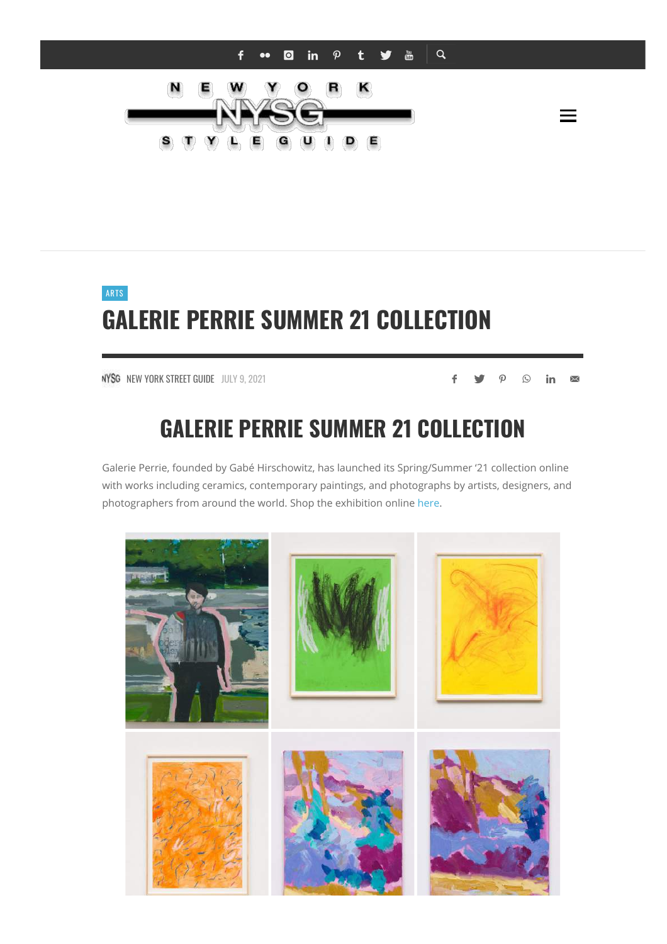#### f •• 0 in p t y … Q



## GALERIE PERRIE SUMMER 21 COLLECTION ARTS

NEW YORK STREET GUIDE JULY 9, 2021

≡

# GALERIE PERRIE SUMMER 21 COLLECTION

Galerie Perrie, founded by Gabé Hirschowitz, has launched its Spring/Summer '21 collection online with works including ceramics, contemporary paintings, and photographs by artists, designers, and photographers from around the world. Shop the exhibition online here.

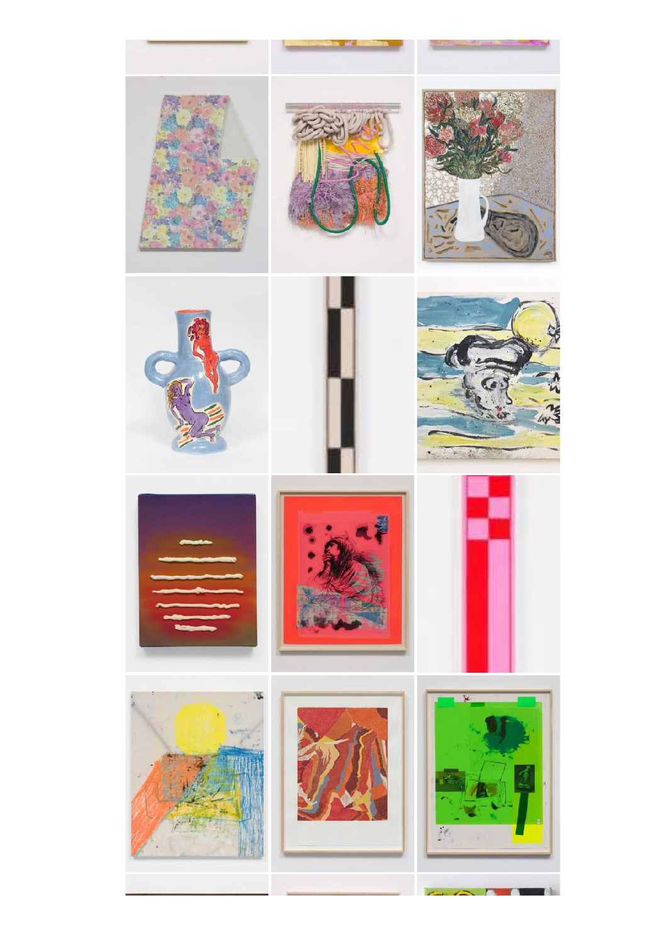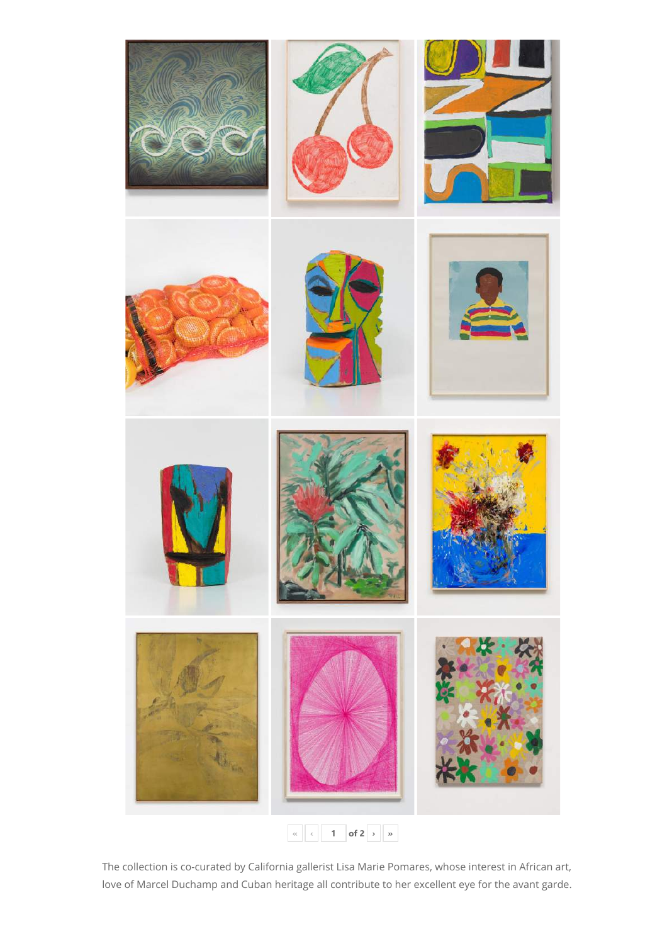

 $\begin{array}{|c|c|c|c|c|}\n\hline\n\end{array}$  (  $\begin{array}{|c|c|c|c|}\n\hline\n\end{array}$  1 of 2  $\rightarrow$   $\begin{array}{|c|c|c|}\n\hline\n\end{array}$ 

The collection is co-curated by California gallerist Lisa Marie Pomares, whose interest in African art, love of Marcel Duchamp and Cuban heritage all contribute to her excellent eye for the avant garde.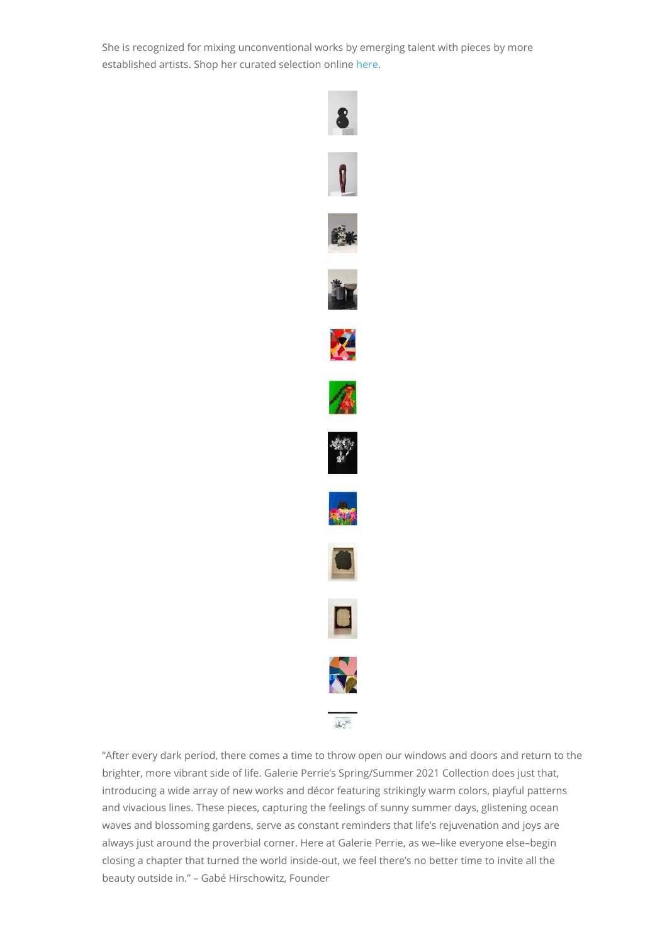She is recognized for mixing unconventional works by emerging talent with pieces by more established artists. Shop her curated selection online here.



"After every dark period, there comes a time to throw open our windows and doors and return to the brighter, more vibrant side of life. Galerie Perrie's Spring/Summer 2021 Collection does just that, introducing a wide array of new works and décor featuring strikingly warm colors, playful patterns and vivacious lines. These pieces, capturing the feelings of sunny summer days, glistening ocean waves and blossoming gardens, serve as constant reminders that life's rejuvenation and joys are always just around the proverbial corner. Here at Galerie Perrie, as we–like everyone else–begin closing a chapter that turned the world inside-out, we feel there's no better time to invite all the beauty outside in." – Gabé Hirschowitz, Founder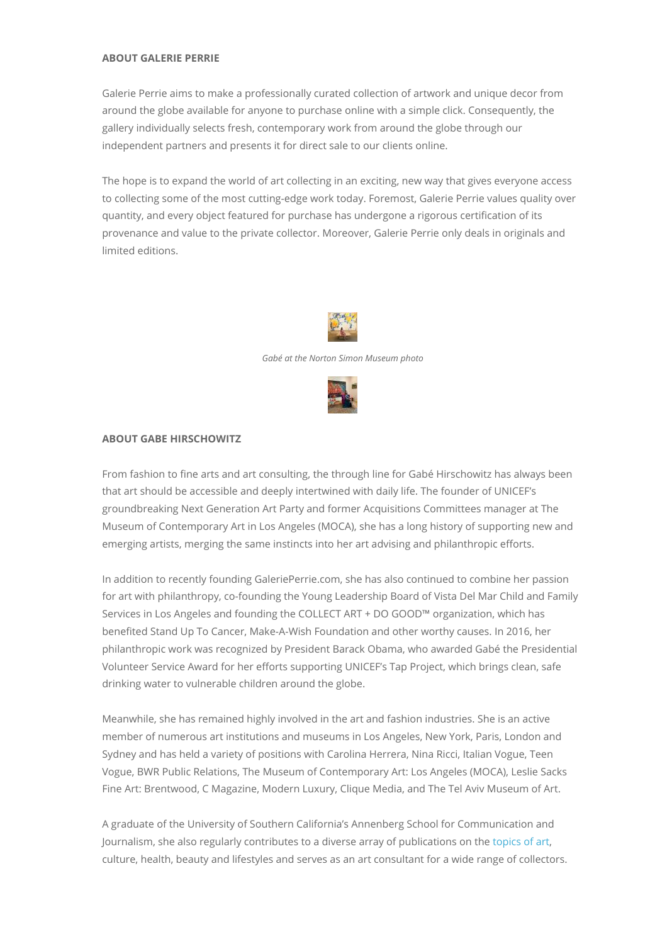#### ABOUT GALERIE PERRIE

Galerie Perrie aims to make a professionally curated collection of artwork and unique decor from around the globe available for anyone to purchase online with a simple click. Consequently, the gallery individually selects fresh, contemporary work from around the globe through our independent partners and presents it for direct sale to our clients online.

The hope is to expand the world of art collecting in an exciting, new way that gives everyone access to collecting some of the most cutting-edge work today. Foremost, Galerie Perrie values quality over quantity, and every object featured for purchase has undergone a rigorous certification of its provenance and value to the private collector. Moreover, Galerie Perrie only deals in originals and limited editions.



*Gabé at the Norton Simon Museum photo*



#### ABOUT GABE HIRSCHOWITZ

From fashion to fine arts and art consulting, the through line for Gabé Hirschowitz has always been that art should be accessible and deeply intertwined with daily life. The founder of UNICEF's groundbreaking Next Generation Art Party and former Acquisitions Committees manager at The Museum of Contemporary Art in Los Angeles (MOCA), she has a long history of supporting new and emerging artists, merging the same instincts into her art advising and philanthropic efforts.

In addition to recently founding GaleriePerrie.com, she has also continued to combine her passion for art with philanthropy, co-founding the Young Leadership Board of Vista Del Mar Child and Family Services in Los Angeles and founding the COLLECT ART + DO GOOD™ organization, which has benefited Stand Up To Cancer, Make-A-Wish Foundation and other worthy causes. In 2016, her philanthropic work was recognized by President Barack Obama, who awarded Gabé the Presidential Volunteer Service Award for her efforts supporting UNICEF's Tap Project, which brings clean, safe drinking water to vulnerable children around the globe.

Meanwhile, she has remained highly involved in the art and fashion industries. She is an active member of numerous art institutions and museums in Los Angeles, New York, Paris, London and Sydney and has held a variety of positions with Carolina Herrera, Nina Ricci, Italian Vogue, Teen Vogue, BWR Public Relations, The Museum of Contemporary Art: Los Angeles (MOCA), Leslie Sacks Fine Art: Brentwood, C Magazine, Modern Luxury, Clique Media, and The Tel Aviv Museum of Art.

A graduate of the University of Southern California's Annenberg School for Communication and Journalism, she also regularly contributes to a diverse array of publications on the topics of art, culture, health, beauty and lifestyles and serves as an art consultant for a wide range of collectors.